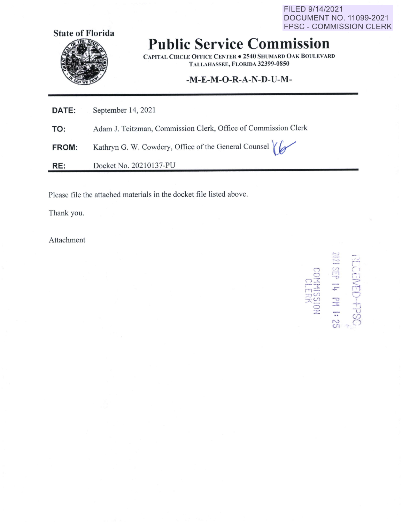FILED 9/14/2021 DOCUMENT NO. 11099-2021 FPSC - COMMISSION CLERK



## **Public Service Commission**

**CAPITAL C IRCLE O FFICE CENTER• 2540 SHUMARD OAK BOULEVARD TALLAHASSEE, FLORIDA 32399-0850** 

## **-M-E-M-O-R-A-N-D-U-M-**

| <b>DATE:</b> | September 14, 2021                                             |
|--------------|----------------------------------------------------------------|
| TO:          | Adam J. Teitzman, Commission Clerk, Office of Commission Clerk |
| <b>FROM:</b> | Kathryn G. W. Cowdery, Office of the General Counsel           |
| RE:          | Docket No. 20210137-PU                                         |

Please file the attached materials in the docket file listed above.

Thank you.

Attachment

 $\mathbb{S}$ **rmiss**  $\subset$  $\mathcal{L}_{\text{max}}$  $\overline{\mathbf{r}}$ **'..-'l ·1 -r"l .i:- -u**  -·- -.. **N U1**  r,, ,- '· I --' : ~~ r 1 *c:*   $+$ 7:., (J)  $\subset$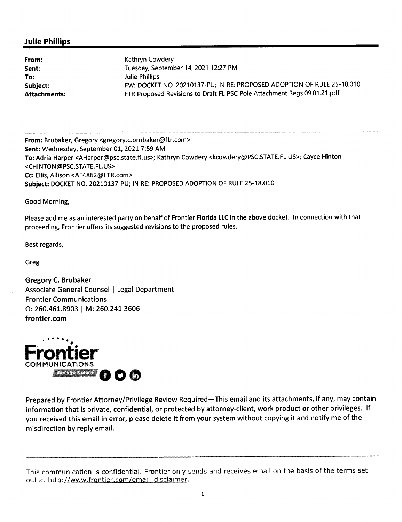## **Julie Phillips**

| Kathryn Cowdery                                                          |
|--------------------------------------------------------------------------|
| Tuesday, September 14, 2021 12:27 PM                                     |
| Julie Phillips                                                           |
| FW: DOCKET NO. 20210137-PU; IN RE: PROPOSED ADOPTION OF RULE 25-18.010   |
| FTR Proposed Revisions to Draft FL PSC Pole Attachment Regs.09.01.21.pdf |
|                                                                          |

**From:** Brubaker, Gregory <gregory.c.brubaker@ftr.com> **Sent:** Wednesday, September 01, 2021 7:59 AM **To:** Adria Harper <AHarper@psc.state.fl.us>; Kathryn Cowdery <kcowdery@PSC.STATE.FL.US>; Cayce Hinton <CHINTON@PSC.STATE.FL.US> **Cc:** Ellis, Allison <AE4862@FTR.com> **Subject:** DOCKET NO. 20210137-PU; IN RE: PROPOSED ADOPTION OF RULE 25-18.010

Good Morning,

Please add me as an interested party on behalf of Frontier Florida LLC in the above docket. In connection with that proceeding, Frontier offers its suggested revisions to the proposed rules.

Best regards,

Greg

**Gregory C. Brubaker**  Associate General Counsel | Legal Department Frontier Communications 0: 260.461.8903 I M: 260.241.3606 **frontier.com** 



Prepared by Frontier Attorney/Privilege Review Required—This email and its attachments, if any, may contain information that is private, confidential, or protected by attorney-client, work product or other privileges. If you received this email in error, please delete it from your system without copying it and notify me of the misdirection by reply email.

This communication is confidential. Frontier only sends and receives email on the basis of the terms set out at http://www.frontier.com/email disclaimer.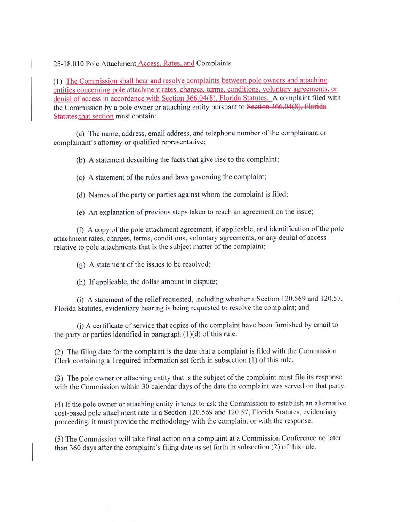25-18.010 Pole Attachment Access, Rates, and Complaints

(1) The Commission shall hear and resolve complaints between pole owners and attaching entities concerning pole attachment rates. charges, terms, conditions. voluntary agreements, or denial of access in accordance with Section 366.04(8), Florida Statutes. A complaint filed with the Commission by a pole owner or attaching entity pursuant to Section 366.04(8), Florida Statutes, that section must contain:

(a) The name, address, email address, and telephone number of the complainant or complainant's attorney or qualified representative;

(b) A statement describing the facts that give rise to the complaint;

(c) A statement of the rules and laws governing the complaint;

(d) Names of the party or parties against whom the complaint is filed;

( e) An explanation of previous steps taken to reach an agreement on the issue;

(f) **A** copy of the pole attachment agreement, if applicable, and identification of the pole attachment rates, charges, terms, conditions, voluntary agreements, or any denial of access relative to pole attachments that is the subject matter of the complaint;

(g) A statement of the issues to be resolved;

(h) If applicable, the dollar amount in dispute;

(i) A statement of the relief requested, including whether a Section 120.569 and 120.57, Florida Statutes, evidentiary hearing is being requested to resolve the complaint; and

(i) A certificate of service that copies of the complaint have been furnished by email to the party or parties identified in paragraph  $(1)(d)$  of this rule.

(2) The filing date for the complaint is the date that a complaint is filed with the Commission Clerk containing all required information set forth in subsection (1) of this rule.

(3) The pole owner or attaching entity that is the subject of the complaint must file its response with the Commission within 30 calendar days of the date the complaint was served on that party.

(4) If the pole owner or attaching entity intends to ask the Commission to establish an alternative cost-based pole attachment rate in a Section 120.569 and 120.57, Florida Statutes, evidentiary proceeding, it must provide the methodology with the complaint or with the response.

(5) The Commission will take final action on a complaint at a Commission Conference no later than 360 days after the complaint's filing date as set forth in subsection (2) of this rule.